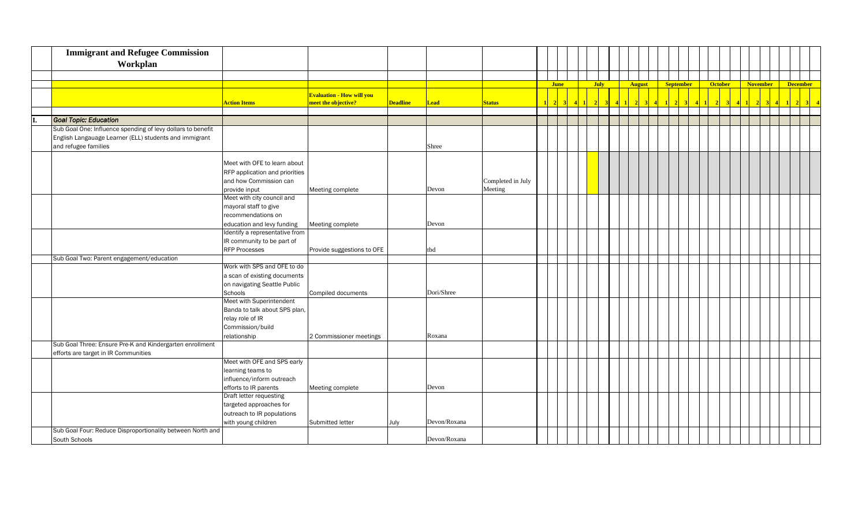|     | <b>Immigrant and Refugee Commission</b><br>Workplan         |                                                    |                                                         |                 |              |                   |             |  |             |  |               |  |                  |  |                |  |                 |  |                 |  |
|-----|-------------------------------------------------------------|----------------------------------------------------|---------------------------------------------------------|-----------------|--------------|-------------------|-------------|--|-------------|--|---------------|--|------------------|--|----------------|--|-----------------|--|-----------------|--|
|     |                                                             |                                                    |                                                         |                 |              |                   |             |  |             |  |               |  |                  |  |                |  |                 |  |                 |  |
|     |                                                             |                                                    |                                                         |                 |              |                   | <b>June</b> |  | <b>July</b> |  | <b>August</b> |  | <b>September</b> |  | <b>October</b> |  | <b>November</b> |  | <b>December</b> |  |
|     |                                                             | <b>Action Items</b>                                | <b>Evaluation - How will you</b><br>meet the objective? | <b>Deadline</b> | <b>Lead</b>  | <b>Status</b>     |             |  |             |  |               |  |                  |  |                |  |                 |  |                 |  |
| IT. | <b>Goal Topic: Education</b>                                |                                                    |                                                         |                 |              |                   |             |  |             |  |               |  |                  |  |                |  |                 |  |                 |  |
|     | Sub Goal One: Influence spending of levy dollars to benefit |                                                    |                                                         |                 |              |                   |             |  |             |  |               |  |                  |  |                |  |                 |  |                 |  |
|     | English Langauage Learner (ELL) students and immigrant      |                                                    |                                                         |                 |              |                   |             |  |             |  |               |  |                  |  |                |  |                 |  |                 |  |
|     | and refugee families                                        |                                                    |                                                         |                 | Shree        |                   |             |  |             |  |               |  |                  |  |                |  |                 |  |                 |  |
|     |                                                             |                                                    |                                                         |                 |              |                   |             |  |             |  |               |  |                  |  |                |  |                 |  |                 |  |
|     |                                                             | Meet with OFE to learn about                       |                                                         |                 |              |                   |             |  |             |  |               |  |                  |  |                |  |                 |  |                 |  |
|     |                                                             | RFP application and priorities                     |                                                         |                 |              |                   |             |  |             |  |               |  |                  |  |                |  |                 |  |                 |  |
|     |                                                             | and how Commission can                             |                                                         |                 |              | Completed in July |             |  |             |  |               |  |                  |  |                |  |                 |  |                 |  |
|     |                                                             | provide input                                      | Meeting complete                                        |                 | Devon        | Meeting           |             |  |             |  |               |  |                  |  |                |  |                 |  |                 |  |
|     |                                                             | Meet with city council and                         |                                                         |                 |              |                   |             |  |             |  |               |  |                  |  |                |  |                 |  |                 |  |
|     |                                                             | mayoral staff to give                              |                                                         |                 |              |                   |             |  |             |  |               |  |                  |  |                |  |                 |  |                 |  |
|     |                                                             | recommendations on                                 |                                                         |                 |              |                   |             |  |             |  |               |  |                  |  |                |  |                 |  |                 |  |
|     |                                                             | education and levy funding                         | Meeting complete                                        |                 | Devon        |                   |             |  |             |  |               |  |                  |  |                |  |                 |  |                 |  |
|     |                                                             | Identify a representative from                     |                                                         |                 |              |                   |             |  |             |  |               |  |                  |  |                |  |                 |  |                 |  |
|     |                                                             | IR community to be part of                         |                                                         |                 |              |                   |             |  |             |  |               |  |                  |  |                |  |                 |  |                 |  |
|     |                                                             | <b>RFP Processes</b>                               | Provide suggestions to OFE                              |                 | tbd          |                   |             |  |             |  |               |  |                  |  |                |  |                 |  |                 |  |
|     | Sub Goal Two: Parent engagement/education                   |                                                    |                                                         |                 |              |                   |             |  |             |  |               |  |                  |  |                |  |                 |  |                 |  |
|     |                                                             | Work with SPS and OFE to do                        |                                                         |                 |              |                   |             |  |             |  |               |  |                  |  |                |  |                 |  |                 |  |
|     |                                                             | a scan of existing documents                       |                                                         |                 |              |                   |             |  |             |  |               |  |                  |  |                |  |                 |  |                 |  |
|     |                                                             | on navigating Seattle Public                       |                                                         |                 |              |                   |             |  |             |  |               |  |                  |  |                |  |                 |  |                 |  |
|     |                                                             | Schools                                            | Compiled documents                                      |                 | Dori/Shree   |                   |             |  |             |  |               |  |                  |  |                |  |                 |  |                 |  |
|     |                                                             | Meet with Superintendent                           |                                                         |                 |              |                   |             |  |             |  |               |  |                  |  |                |  |                 |  |                 |  |
|     |                                                             | Banda to talk about SPS plan,                      |                                                         |                 |              |                   |             |  |             |  |               |  |                  |  |                |  |                 |  |                 |  |
|     |                                                             | relay role of IR                                   |                                                         |                 |              |                   |             |  |             |  |               |  |                  |  |                |  |                 |  |                 |  |
|     |                                                             | Commission/build                                   |                                                         |                 |              |                   |             |  |             |  |               |  |                  |  |                |  |                 |  |                 |  |
|     |                                                             | relationship                                       | 2 Commissioner meetings                                 |                 | Roxana       |                   |             |  |             |  |               |  |                  |  |                |  |                 |  |                 |  |
|     | Sub Goal Three: Ensure Pre-K and Kindergarten enrollment    |                                                    |                                                         |                 |              |                   |             |  |             |  |               |  |                  |  |                |  |                 |  |                 |  |
|     | efforts are target in IR Communities                        |                                                    |                                                         |                 |              |                   |             |  |             |  |               |  |                  |  |                |  |                 |  |                 |  |
|     |                                                             | Meet with OFE and SPS early                        |                                                         |                 |              |                   |             |  |             |  |               |  |                  |  |                |  |                 |  |                 |  |
|     |                                                             | learning teams to                                  |                                                         |                 |              |                   |             |  |             |  |               |  |                  |  |                |  |                 |  |                 |  |
|     |                                                             | influence/inform outreach                          |                                                         |                 |              |                   |             |  |             |  |               |  |                  |  |                |  |                 |  |                 |  |
|     |                                                             | efforts to IR parents                              | Meeting complete                                        |                 | Devon        |                   |             |  |             |  |               |  |                  |  |                |  |                 |  |                 |  |
|     |                                                             | Draft letter requesting<br>targeted approaches for |                                                         |                 |              |                   |             |  |             |  |               |  |                  |  |                |  |                 |  |                 |  |
|     |                                                             | outreach to IR populations                         |                                                         |                 |              |                   |             |  |             |  |               |  |                  |  |                |  |                 |  |                 |  |
|     |                                                             | with young children                                | Submitted letter                                        | July            | Devon/Roxana |                   |             |  |             |  |               |  |                  |  |                |  |                 |  |                 |  |
|     | Sub Goal Four: Reduce Disproportionality between North and  |                                                    |                                                         |                 |              |                   |             |  |             |  |               |  |                  |  |                |  |                 |  |                 |  |
|     | South Schools                                               |                                                    |                                                         |                 | Devon/Roxana |                   |             |  |             |  |               |  |                  |  |                |  |                 |  |                 |  |
|     |                                                             |                                                    |                                                         |                 |              |                   |             |  |             |  |               |  |                  |  |                |  |                 |  |                 |  |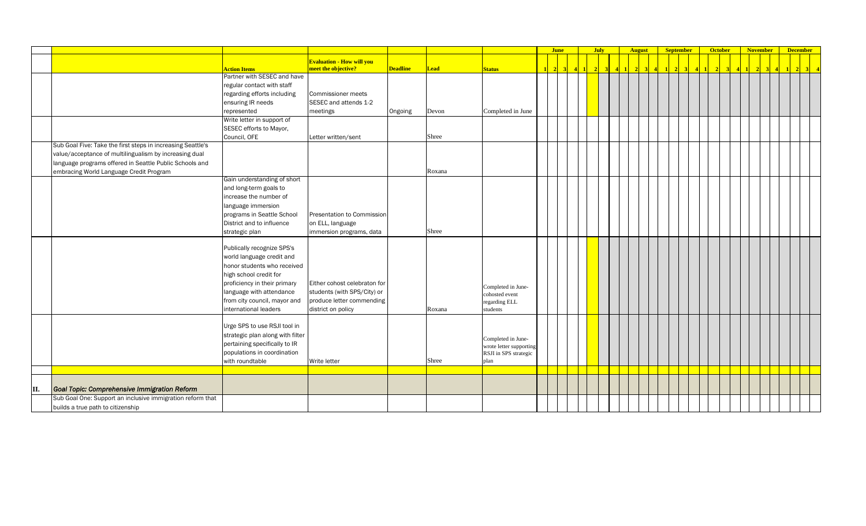|     |                                                             |                                  |                                  |                 |             |                           |           | <b>June</b> |                 |                 | <b>July</b>    |  | <b>August</b> |  | <b>September</b> | <b>October</b>  |            | <b>November</b> |           | <b>December</b> |                   |
|-----|-------------------------------------------------------------|----------------------------------|----------------------------------|-----------------|-------------|---------------------------|-----------|-------------|-----------------|-----------------|----------------|--|---------------|--|------------------|-----------------|------------|-----------------|-----------|-----------------|-------------------|
|     |                                                             |                                  | <b>Evaluation - How will you</b> |                 |             |                           |           |             |                 |                 |                |  |               |  |                  |                 |            |                 |           |                 |                   |
|     |                                                             | <b>Action Items</b>              | meet the objective?              | <b>Deadline</b> | <b>Lead</b> | <b>Status</b>             | $\vert$ 1 | $\sqrt{2}$  | $\vert 3 \vert$ | $\vert 4 \vert$ | 2 <sup>1</sup> |  |               |  |                  | $2 \mid 3 \mid$ | $4 \mid 1$ | $\sqrt{2}$<br>3 | $\vert$ 4 |                 | $2 \mid 3 \mid 4$ |
|     |                                                             | Partner with SESEC and have      |                                  |                 |             |                           |           |             |                 |                 |                |  |               |  |                  |                 |            |                 |           |                 |                   |
|     |                                                             | regular contact with staff       |                                  |                 |             |                           |           |             |                 |                 |                |  |               |  |                  |                 |            |                 |           |                 |                   |
|     |                                                             | regarding efforts including      | Commissioner meets               |                 |             |                           |           |             |                 |                 |                |  |               |  |                  |                 |            |                 |           |                 |                   |
|     |                                                             | ensuring IR needs                | SESEC and attends 1-2            |                 |             |                           |           |             |                 |                 |                |  |               |  |                  |                 |            |                 |           |                 |                   |
|     |                                                             | represented                      | meetings                         | Ongoing         | Devon       | Completed in June         |           |             |                 |                 |                |  |               |  |                  |                 |            |                 |           |                 |                   |
|     |                                                             | Write letter in support of       |                                  |                 |             |                           |           |             |                 |                 |                |  |               |  |                  |                 |            |                 |           |                 |                   |
|     |                                                             | SESEC efforts to Mayor,          |                                  |                 |             |                           |           |             |                 |                 |                |  |               |  |                  |                 |            |                 |           |                 |                   |
|     |                                                             | Council, OFE                     | Letter written/sent              |                 | Shree       |                           |           |             |                 |                 |                |  |               |  |                  |                 |            |                 |           |                 |                   |
|     | Sub Goal Five: Take the first steps in increasing Seattle's |                                  |                                  |                 |             |                           |           |             |                 |                 |                |  |               |  |                  |                 |            |                 |           |                 |                   |
|     | value/acceptance of multilingualism by increasing dual      |                                  |                                  |                 |             |                           |           |             |                 |                 |                |  |               |  |                  |                 |            |                 |           |                 |                   |
|     | language programs offered in Seattle Public Schools and     |                                  |                                  |                 |             |                           |           |             |                 |                 |                |  |               |  |                  |                 |            |                 |           |                 |                   |
|     | embracing World Language Credit Program                     |                                  |                                  |                 | Roxana      |                           |           |             |                 |                 |                |  |               |  |                  |                 |            |                 |           |                 |                   |
|     |                                                             | Gain understanding of short      |                                  |                 |             |                           |           |             |                 |                 |                |  |               |  |                  |                 |            |                 |           |                 |                   |
|     |                                                             | and long-term goals to           |                                  |                 |             |                           |           |             |                 |                 |                |  |               |  |                  |                 |            |                 |           |                 |                   |
|     |                                                             | increase the number of           |                                  |                 |             |                           |           |             |                 |                 |                |  |               |  |                  |                 |            |                 |           |                 |                   |
|     |                                                             | language immersion               |                                  |                 |             |                           |           |             |                 |                 |                |  |               |  |                  |                 |            |                 |           |                 |                   |
|     |                                                             | programs in Seattle School       | Presentation to Commission       |                 |             |                           |           |             |                 |                 |                |  |               |  |                  |                 |            |                 |           |                 |                   |
|     |                                                             | District and to influence        | on ELL, language                 |                 |             |                           |           |             |                 |                 |                |  |               |  |                  |                 |            |                 |           |                 |                   |
|     |                                                             | strategic plan                   | immersion programs, data         |                 | Shree       |                           |           |             |                 |                 |                |  |               |  |                  |                 |            |                 |           |                 |                   |
|     |                                                             |                                  |                                  |                 |             |                           |           |             |                 |                 |                |  |               |  |                  |                 |            |                 |           |                 |                   |
|     |                                                             | Publically recognize SPS's       |                                  |                 |             |                           |           |             |                 |                 |                |  |               |  |                  |                 |            |                 |           |                 |                   |
|     |                                                             | world language credit and        |                                  |                 |             |                           |           |             |                 |                 |                |  |               |  |                  |                 |            |                 |           |                 |                   |
|     |                                                             | honor students who received      |                                  |                 |             |                           |           |             |                 |                 |                |  |               |  |                  |                 |            |                 |           |                 |                   |
|     |                                                             | high school credit for           |                                  |                 |             |                           |           |             |                 |                 |                |  |               |  |                  |                 |            |                 |           |                 |                   |
|     |                                                             | proficiency in their primary     | Either cohost celebraton for     |                 |             |                           |           |             |                 |                 |                |  |               |  |                  |                 |            |                 |           |                 |                   |
|     |                                                             | language with attendance         | students (with SPS/City) or      |                 |             | Completed in June-        |           |             |                 |                 |                |  |               |  |                  |                 |            |                 |           |                 |                   |
|     |                                                             | from city council, mayor and     | produce letter commending        |                 |             | cohosted event            |           |             |                 |                 |                |  |               |  |                  |                 |            |                 |           |                 |                   |
|     |                                                             | international leaders            |                                  |                 | Roxana      | regarding ELL<br>students |           |             |                 |                 |                |  |               |  |                  |                 |            |                 |           |                 |                   |
|     |                                                             |                                  | district on policy               |                 |             |                           |           |             |                 |                 |                |  |               |  |                  |                 |            |                 |           |                 |                   |
|     |                                                             | Urge SPS to use RSJI tool in     |                                  |                 |             |                           |           |             |                 |                 |                |  |               |  |                  |                 |            |                 |           |                 |                   |
|     |                                                             | strategic plan along with filter |                                  |                 |             |                           |           |             |                 |                 |                |  |               |  |                  |                 |            |                 |           |                 |                   |
|     |                                                             | pertaining specifically to IR    |                                  |                 |             | Completed in June-        |           |             |                 |                 |                |  |               |  |                  |                 |            |                 |           |                 |                   |
|     |                                                             |                                  |                                  |                 |             | wrote letter supporting   |           |             |                 |                 |                |  |               |  |                  |                 |            |                 |           |                 |                   |
|     |                                                             | populations in coordination      |                                  |                 |             | RSJI in SPS strategic     |           |             |                 |                 |                |  |               |  |                  |                 |            |                 |           |                 |                   |
|     |                                                             | with roundtable                  | Write letter                     |                 | Shree       | plan                      |           |             |                 |                 |                |  |               |  |                  |                 |            |                 |           |                 |                   |
|     |                                                             |                                  |                                  |                 |             |                           |           |             |                 |                 |                |  |               |  |                  |                 |            |                 |           |                 |                   |
|     |                                                             |                                  |                                  |                 |             |                           |           |             |                 |                 |                |  |               |  |                  |                 |            |                 |           |                 |                   |
| II. | Goal Topic: Comprehensive Immigration Reform                |                                  |                                  |                 |             |                           |           |             |                 |                 |                |  |               |  |                  |                 |            |                 |           |                 |                   |
|     | Sub Goal One: Support an inclusive immigration reform that  |                                  |                                  |                 |             |                           |           |             |                 |                 |                |  |               |  |                  |                 |            |                 |           |                 |                   |
|     | builds a true path to citizenship                           |                                  |                                  |                 |             |                           |           |             |                 |                 |                |  |               |  |                  |                 |            |                 |           |                 |                   |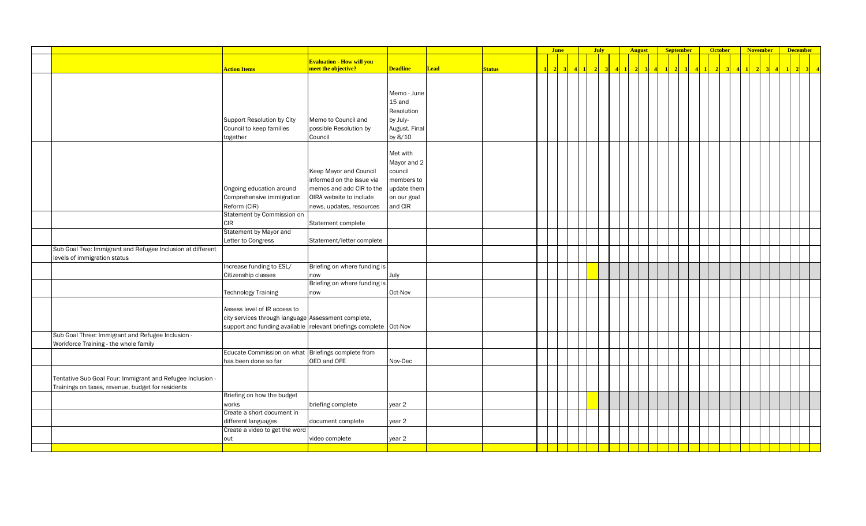|                                                            |                                                                   |                                  |                 |             |               |                | <b>June</b> |  | <b>July</b> |  | <b>August</b> |  | <b>September</b> |  | <b>October</b> |  | <b>November</b> | <b>December</b> |  |
|------------------------------------------------------------|-------------------------------------------------------------------|----------------------------------|-----------------|-------------|---------------|----------------|-------------|--|-------------|--|---------------|--|------------------|--|----------------|--|-----------------|-----------------|--|
|                                                            |                                                                   | <b>Evaluation - How will you</b> |                 |             |               |                |             |  |             |  |               |  |                  |  |                |  |                 |                 |  |
|                                                            | <b>Action Items</b>                                               | meet the objective?              | <b>Deadline</b> | <b>Lead</b> | <b>Status</b> | $\blacksquare$ | 2           |  |             |  |               |  |                  |  |                |  |                 |                 |  |
|                                                            |                                                                   |                                  |                 |             |               |                |             |  |             |  |               |  |                  |  |                |  |                 |                 |  |
|                                                            |                                                                   |                                  |                 |             |               |                |             |  |             |  |               |  |                  |  |                |  |                 |                 |  |
|                                                            |                                                                   |                                  | Memo - June     |             |               |                |             |  |             |  |               |  |                  |  |                |  |                 |                 |  |
|                                                            |                                                                   |                                  | 15 and          |             |               |                |             |  |             |  |               |  |                  |  |                |  |                 |                 |  |
|                                                            |                                                                   |                                  | Resolution      |             |               |                |             |  |             |  |               |  |                  |  |                |  |                 |                 |  |
|                                                            | Support Resolution by City                                        | Memo to Council and              | by July-        |             |               |                |             |  |             |  |               |  |                  |  |                |  |                 |                 |  |
|                                                            | Council to keep families                                          | possible Resolution by           | August. Final   |             |               |                |             |  |             |  |               |  |                  |  |                |  |                 |                 |  |
|                                                            | together                                                          | Council                          | by 8/10         |             |               |                |             |  |             |  |               |  |                  |  |                |  |                 |                 |  |
|                                                            |                                                                   |                                  |                 |             |               |                |             |  |             |  |               |  |                  |  |                |  |                 |                 |  |
|                                                            |                                                                   |                                  | Met with        |             |               |                |             |  |             |  |               |  |                  |  |                |  |                 |                 |  |
|                                                            |                                                                   |                                  | Mayor and 2     |             |               |                |             |  |             |  |               |  |                  |  |                |  |                 |                 |  |
|                                                            |                                                                   | Keep Mayor and Council           | council         |             |               |                |             |  |             |  |               |  |                  |  |                |  |                 |                 |  |
|                                                            |                                                                   | informed on the issue via        | members to      |             |               |                |             |  |             |  |               |  |                  |  |                |  |                 |                 |  |
|                                                            | Ongoing education around                                          | memos and add CIR to the         | update them     |             |               |                |             |  |             |  |               |  |                  |  |                |  |                 |                 |  |
|                                                            |                                                                   | OIRA website to include          |                 |             |               |                |             |  |             |  |               |  |                  |  |                |  |                 |                 |  |
|                                                            | Comprehensive immigration                                         |                                  | on our goal     |             |               |                |             |  |             |  |               |  |                  |  |                |  |                 |                 |  |
|                                                            | Reform (CIR)                                                      | news, updates, resources         | and CIR         |             |               |                |             |  |             |  |               |  |                  |  |                |  |                 |                 |  |
|                                                            | Statement by Commission on                                        |                                  |                 |             |               |                |             |  |             |  |               |  |                  |  |                |  |                 |                 |  |
|                                                            | <b>CIR</b>                                                        | Statement complete               |                 |             |               |                |             |  |             |  |               |  |                  |  |                |  |                 |                 |  |
|                                                            | Statement by Mayor and                                            |                                  |                 |             |               |                |             |  |             |  |               |  |                  |  |                |  |                 |                 |  |
|                                                            | Letter to Congress                                                | Statement/letter complete        |                 |             |               |                |             |  |             |  |               |  |                  |  |                |  |                 |                 |  |
| Sub Goal Two: Immigrant and Refugee Inclusion at different |                                                                   |                                  |                 |             |               |                |             |  |             |  |               |  |                  |  |                |  |                 |                 |  |
| levels of immigration status                               |                                                                   |                                  |                 |             |               |                |             |  |             |  |               |  |                  |  |                |  |                 |                 |  |
|                                                            | Increase funding to ESL/                                          | Briefing on where funding is     |                 |             |               |                |             |  |             |  |               |  |                  |  |                |  |                 |                 |  |
|                                                            | Citizenship classes                                               | now                              | July            |             |               |                |             |  |             |  |               |  |                  |  |                |  |                 |                 |  |
|                                                            |                                                                   | Briefing on where funding is     |                 |             |               |                |             |  |             |  |               |  |                  |  |                |  |                 |                 |  |
|                                                            | <b>Technology Training</b>                                        | now                              | Oct-Nov         |             |               |                |             |  |             |  |               |  |                  |  |                |  |                 |                 |  |
|                                                            |                                                                   |                                  |                 |             |               |                |             |  |             |  |               |  |                  |  |                |  |                 |                 |  |
|                                                            | Assess level of IR access to                                      |                                  |                 |             |               |                |             |  |             |  |               |  |                  |  |                |  |                 |                 |  |
|                                                            | city services through language Assessment complete,               |                                  |                 |             |               |                |             |  |             |  |               |  |                  |  |                |  |                 |                 |  |
|                                                            | support and funding available relevant briefings complete Oct-Nov |                                  |                 |             |               |                |             |  |             |  |               |  |                  |  |                |  |                 |                 |  |
| Sub Goal Three: Immigrant and Refugee Inclusion -          |                                                                   |                                  |                 |             |               |                |             |  |             |  |               |  |                  |  |                |  |                 |                 |  |
| Workforce Training - the whole family                      |                                                                   |                                  |                 |             |               |                |             |  |             |  |               |  |                  |  |                |  |                 |                 |  |
|                                                            | Educate Commission on what                                        | Briefings complete from          |                 |             |               |                |             |  |             |  |               |  |                  |  |                |  |                 |                 |  |
|                                                            | has been done so far                                              | OED and OFE                      | Nov-Dec         |             |               |                |             |  |             |  |               |  |                  |  |                |  |                 |                 |  |
|                                                            |                                                                   |                                  |                 |             |               |                |             |  |             |  |               |  |                  |  |                |  |                 |                 |  |
| Tentative Sub Goal Four: Immigrant and Refugee Inclusion - |                                                                   |                                  |                 |             |               |                |             |  |             |  |               |  |                  |  |                |  |                 |                 |  |
| Trainings on taxes, revenue, budget for residents          |                                                                   |                                  |                 |             |               |                |             |  |             |  |               |  |                  |  |                |  |                 |                 |  |
|                                                            | Briefing on how the budget                                        |                                  |                 |             |               |                |             |  |             |  |               |  |                  |  |                |  |                 |                 |  |
|                                                            | works                                                             | briefing complete                | year 2          |             |               |                |             |  |             |  |               |  |                  |  |                |  |                 |                 |  |
|                                                            | Create a short document in                                        |                                  |                 |             |               |                |             |  |             |  |               |  |                  |  |                |  |                 |                 |  |
|                                                            | different languages                                               | document complete                | year 2          |             |               |                |             |  |             |  |               |  |                  |  |                |  |                 |                 |  |
|                                                            | Create a video to get the word                                    |                                  |                 |             |               |                |             |  |             |  |               |  |                  |  |                |  |                 |                 |  |
|                                                            | out                                                               | video complete                   | year 2          |             |               |                |             |  |             |  |               |  |                  |  |                |  |                 |                 |  |
|                                                            |                                                                   |                                  |                 |             |               |                |             |  |             |  |               |  |                  |  |                |  |                 |                 |  |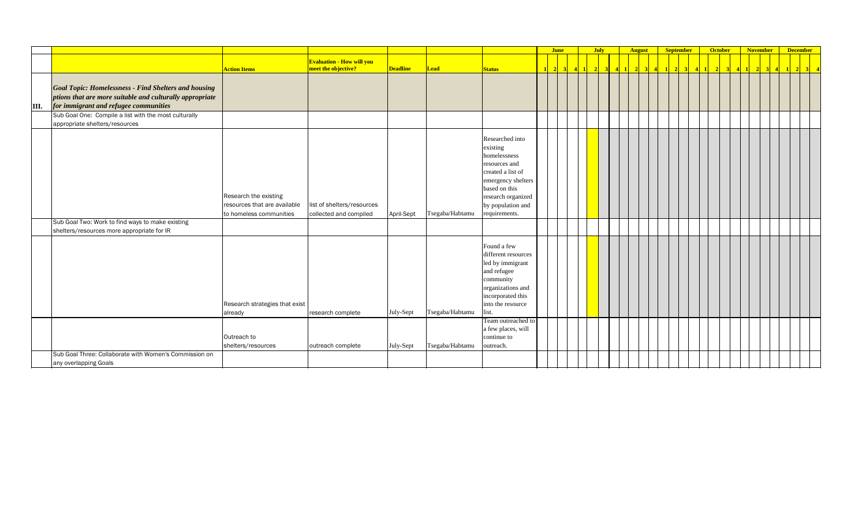|      |                                                             |                                |                                                         |                 |                 |                     | <b>June</b> | <b>July</b> |  |                         | <b>Example 12 August 12 September</b> | <b>October</b> | November December |  |  |
|------|-------------------------------------------------------------|--------------------------------|---------------------------------------------------------|-----------------|-----------------|---------------------|-------------|-------------|--|-------------------------|---------------------------------------|----------------|-------------------|--|--|
|      |                                                             | <b>Action Items</b>            | <b>Evaluation - How will you</b><br>meet the objective? | <b>Deadline</b> | Lead            | <b>Status</b>       |             |             |  | $\overline{2}$<br>$3$ 4 | $2 \quad 3 \quad 4 \quad 1$           | $\overline{2}$ |                   |  |  |
|      |                                                             |                                |                                                         |                 |                 |                     |             |             |  |                         |                                       |                |                   |  |  |
|      | <b>Goal Topic: Homelessness - Find Shelters and housing</b> |                                |                                                         |                 |                 |                     |             |             |  |                         |                                       |                |                   |  |  |
|      | ptions that are more suitable and culturally appropriate    |                                |                                                         |                 |                 |                     |             |             |  |                         |                                       |                |                   |  |  |
| III. | for immigrant and refugee communities                       |                                |                                                         |                 |                 |                     |             |             |  |                         |                                       |                |                   |  |  |
|      | Sub Goal One: Compile a list with the most culturally       |                                |                                                         |                 |                 |                     |             |             |  |                         |                                       |                |                   |  |  |
|      | appropriate shelters/resources                              |                                |                                                         |                 |                 |                     |             |             |  |                         |                                       |                |                   |  |  |
|      |                                                             |                                |                                                         |                 |                 |                     |             |             |  |                         |                                       |                |                   |  |  |
|      |                                                             |                                |                                                         |                 |                 | Researched into     |             |             |  |                         |                                       |                |                   |  |  |
|      |                                                             |                                |                                                         |                 |                 | existing            |             |             |  |                         |                                       |                |                   |  |  |
|      |                                                             |                                |                                                         |                 |                 | homelessness        |             |             |  |                         |                                       |                |                   |  |  |
|      |                                                             |                                |                                                         |                 |                 | resources and       |             |             |  |                         |                                       |                |                   |  |  |
|      |                                                             |                                |                                                         |                 |                 | created a list of   |             |             |  |                         |                                       |                |                   |  |  |
|      |                                                             |                                |                                                         |                 |                 | emergency shelters  |             |             |  |                         |                                       |                |                   |  |  |
|      |                                                             |                                |                                                         |                 |                 | based on this       |             |             |  |                         |                                       |                |                   |  |  |
|      |                                                             | Research the existing          |                                                         |                 |                 | research organized  |             |             |  |                         |                                       |                |                   |  |  |
|      |                                                             | resources that are available   | list of shelters/resources                              |                 |                 | by population and   |             |             |  |                         |                                       |                |                   |  |  |
|      |                                                             | to homeless communities        | collected and compiled                                  | April-Sept      | Tsegaba/Habtamu | requirements.       |             |             |  |                         |                                       |                |                   |  |  |
|      | Sub Goal Two: Work to find ways to make existing            |                                |                                                         |                 |                 |                     |             |             |  |                         |                                       |                |                   |  |  |
|      | shelters/resources more appropriate for IR                  |                                |                                                         |                 |                 |                     |             |             |  |                         |                                       |                |                   |  |  |
|      |                                                             |                                |                                                         |                 |                 | Found a few         |             |             |  |                         |                                       |                |                   |  |  |
|      |                                                             |                                |                                                         |                 |                 | different resources |             |             |  |                         |                                       |                |                   |  |  |
|      |                                                             |                                |                                                         |                 |                 | led by immigrant    |             |             |  |                         |                                       |                |                   |  |  |
|      |                                                             |                                |                                                         |                 |                 | and refugee         |             |             |  |                         |                                       |                |                   |  |  |
|      |                                                             |                                |                                                         |                 |                 | community           |             |             |  |                         |                                       |                |                   |  |  |
|      |                                                             |                                |                                                         |                 |                 | organizations and   |             |             |  |                         |                                       |                |                   |  |  |
|      |                                                             |                                |                                                         |                 |                 | incorporated this   |             |             |  |                         |                                       |                |                   |  |  |
|      |                                                             | Research strategies that exist |                                                         |                 |                 | into the resource   |             |             |  |                         |                                       |                |                   |  |  |
|      |                                                             | already                        | research complete                                       | July-Sept       | Tsegaba/Habtamu | list.               |             |             |  |                         |                                       |                |                   |  |  |
|      |                                                             |                                |                                                         |                 |                 | Team outreached to  |             |             |  |                         |                                       |                |                   |  |  |
|      |                                                             |                                |                                                         |                 |                 | a few places, will  |             |             |  |                         |                                       |                |                   |  |  |
|      |                                                             | Outreach to                    |                                                         |                 |                 | continue to         |             |             |  |                         |                                       |                |                   |  |  |
|      |                                                             | shelters/resources             | outreach complete                                       | July-Sept       | Tsegaba/Habtamu | outreach.           |             |             |  |                         |                                       |                |                   |  |  |
|      | Sub Goal Three: Collaborate with Women's Commission on      |                                |                                                         |                 |                 |                     |             |             |  |                         |                                       |                |                   |  |  |
|      | any overlapping Goals                                       |                                |                                                         |                 |                 |                     |             |             |  |                         |                                       |                |                   |  |  |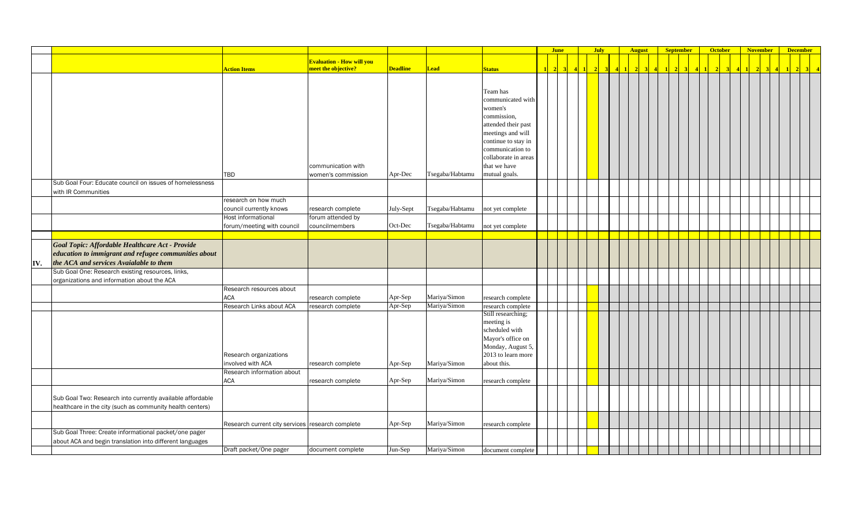|     |                                                            |                                                  |                                        |                 |                 |                                         | <b>June</b>            |                   | <b>July</b> |  | <b>August</b> |                                                                                  | <b>September</b> |         | <b>October</b> | <b>November</b> |                 |           | <b>December</b> |  |
|-----|------------------------------------------------------------|--------------------------------------------------|----------------------------------------|-----------------|-----------------|-----------------------------------------|------------------------|-------------------|-------------|--|---------------|----------------------------------------------------------------------------------|------------------|---------|----------------|-----------------|-----------------|-----------|-----------------|--|
|     |                                                            |                                                  | <mark>Evaluation - How will you</mark> |                 |                 |                                         |                        |                   |             |  |               |                                                                                  |                  |         |                |                 |                 |           |                 |  |
|     |                                                            | <b>Action Items</b>                              | meet the objective?                    | <b>Deadline</b> | <b>Lead</b>     | <b>Status</b>                           | $\vert$ 2<br>$\vert$ 3 | $4 \vert 1 \vert$ |             |  |               | $\begin{array}{ c c c c c c c c c }\n\hline\n4 & 1 & 2 & 3 & 4 & 1\n\end{array}$ | $2 \overline{3}$ | $4$ 1 2 |                | $\vert 2 \vert$ | $\vert 3 \vert$ | $\vert$ 4 | $\sqrt{2}$      |  |
|     |                                                            |                                                  |                                        |                 |                 |                                         |                        |                   |             |  |               |                                                                                  |                  |         |                |                 |                 |           |                 |  |
|     |                                                            |                                                  |                                        |                 |                 |                                         |                        |                   |             |  |               |                                                                                  |                  |         |                |                 |                 |           |                 |  |
|     |                                                            |                                                  |                                        |                 |                 | Team has                                |                        |                   |             |  |               |                                                                                  |                  |         |                |                 |                 |           |                 |  |
|     |                                                            |                                                  |                                        |                 |                 | communicated with                       |                        |                   |             |  |               |                                                                                  |                  |         |                |                 |                 |           |                 |  |
|     |                                                            |                                                  |                                        |                 |                 | women's                                 |                        |                   |             |  |               |                                                                                  |                  |         |                |                 |                 |           |                 |  |
|     |                                                            |                                                  |                                        |                 |                 | commission,                             |                        |                   |             |  |               |                                                                                  |                  |         |                |                 |                 |           |                 |  |
|     |                                                            |                                                  |                                        |                 |                 | attended their past                     |                        |                   |             |  |               |                                                                                  |                  |         |                |                 |                 |           |                 |  |
|     |                                                            |                                                  |                                        |                 |                 | meetings and will                       |                        |                   |             |  |               |                                                                                  |                  |         |                |                 |                 |           |                 |  |
|     |                                                            |                                                  |                                        |                 |                 | continue to stay in<br>communication to |                        |                   |             |  |               |                                                                                  |                  |         |                |                 |                 |           |                 |  |
|     |                                                            |                                                  |                                        |                 |                 | collaborate in areas                    |                        |                   |             |  |               |                                                                                  |                  |         |                |                 |                 |           |                 |  |
|     |                                                            |                                                  | communication with                     |                 |                 | that we have                            |                        |                   |             |  |               |                                                                                  |                  |         |                |                 |                 |           |                 |  |
|     |                                                            | TBD                                              | women's commission                     | Apr-Dec         | Tsegaba/Habtamu | mutual goals.                           |                        |                   |             |  |               |                                                                                  |                  |         |                |                 |                 |           |                 |  |
|     | Sub Goal Four: Educate council on issues of homelessness   |                                                  |                                        |                 |                 |                                         |                        |                   |             |  |               |                                                                                  |                  |         |                |                 |                 |           |                 |  |
|     | with IR Communities                                        |                                                  |                                        |                 |                 |                                         |                        |                   |             |  |               |                                                                                  |                  |         |                |                 |                 |           |                 |  |
|     |                                                            | research on how much                             |                                        |                 |                 |                                         |                        |                   |             |  |               |                                                                                  |                  |         |                |                 |                 |           |                 |  |
|     |                                                            | council currently knows                          | research complete                      | July-Sept       | Tsegaba/Habtamu | not yet complete                        |                        |                   |             |  |               |                                                                                  |                  |         |                |                 |                 |           |                 |  |
|     |                                                            | Host informational                               | forum attended by                      |                 |                 |                                         |                        |                   |             |  |               |                                                                                  |                  |         |                |                 |                 |           |                 |  |
|     |                                                            | forum/meeting with council                       | councilmembers                         | Oct-Dec         | Tsegaba/Habtamu | not yet complete                        |                        |                   |             |  |               |                                                                                  |                  |         |                |                 |                 |           |                 |  |
|     |                                                            |                                                  |                                        |                 |                 |                                         |                        |                   |             |  |               |                                                                                  |                  |         |                |                 |                 |           |                 |  |
|     | Goal Topic: Affordable Healthcare Act - Provide            |                                                  |                                        |                 |                 |                                         |                        |                   |             |  |               |                                                                                  |                  |         |                |                 |                 |           |                 |  |
|     | education to immigrant and refugee communities about       |                                                  |                                        |                 |                 |                                         |                        |                   |             |  |               |                                                                                  |                  |         |                |                 |                 |           |                 |  |
| IV. | the ACA and services Avaialable to them                    |                                                  |                                        |                 |                 |                                         |                        |                   |             |  |               |                                                                                  |                  |         |                |                 |                 |           |                 |  |
|     | Sub Goal One: Research existing resources, links,          |                                                  |                                        |                 |                 |                                         |                        |                   |             |  |               |                                                                                  |                  |         |                |                 |                 |           |                 |  |
|     | organizations and information about the ACA                |                                                  |                                        |                 |                 |                                         |                        |                   |             |  |               |                                                                                  |                  |         |                |                 |                 |           |                 |  |
|     |                                                            | Research resources about                         |                                        |                 |                 |                                         |                        |                   |             |  |               |                                                                                  |                  |         |                |                 |                 |           |                 |  |
|     |                                                            | <b>ACA</b>                                       | research complete                      | Apr-Sep         | Mariya/Simon    | research complete                       |                        |                   |             |  |               |                                                                                  |                  |         |                |                 |                 |           |                 |  |
|     |                                                            | Research Links about ACA                         | research complete                      | Apr-Sep         | Mariya/Simon    | research complete                       |                        |                   |             |  |               |                                                                                  |                  |         |                |                 |                 |           |                 |  |
|     |                                                            |                                                  |                                        |                 |                 | Still researching;                      |                        |                   |             |  |               |                                                                                  |                  |         |                |                 |                 |           |                 |  |
|     |                                                            |                                                  |                                        |                 |                 | meeting is                              |                        |                   |             |  |               |                                                                                  |                  |         |                |                 |                 |           |                 |  |
|     |                                                            |                                                  |                                        |                 |                 | scheduled with                          |                        |                   |             |  |               |                                                                                  |                  |         |                |                 |                 |           |                 |  |
|     |                                                            |                                                  |                                        |                 |                 | Mayor's office on                       |                        |                   |             |  |               |                                                                                  |                  |         |                |                 |                 |           |                 |  |
|     |                                                            |                                                  |                                        |                 |                 | Monday, August 5,                       |                        |                   |             |  |               |                                                                                  |                  |         |                |                 |                 |           |                 |  |
|     |                                                            | Research organizations                           |                                        |                 |                 | 2013 to learn more                      |                        |                   |             |  |               |                                                                                  |                  |         |                |                 |                 |           |                 |  |
|     |                                                            | involved with ACA                                | research complete                      | Apr-Sep         | Mariya/Simon    | about this.                             |                        |                   |             |  |               |                                                                                  |                  |         |                |                 |                 |           |                 |  |
|     |                                                            | Research information about                       |                                        |                 |                 |                                         |                        |                   |             |  |               |                                                                                  |                  |         |                |                 |                 |           |                 |  |
|     |                                                            | <b>ACA</b>                                       | research complete                      | Apr-Sep         | Mariya/Simon    | research complete                       |                        |                   |             |  |               |                                                                                  |                  |         |                |                 |                 |           |                 |  |
|     |                                                            |                                                  |                                        |                 |                 |                                         |                        |                   |             |  |               |                                                                                  |                  |         |                |                 |                 |           |                 |  |
|     | Sub Goal Two: Research into currently available affordable |                                                  |                                        |                 |                 |                                         |                        |                   |             |  |               |                                                                                  |                  |         |                |                 |                 |           |                 |  |
|     | healthcare in the city (such as community health centers)  |                                                  |                                        |                 |                 |                                         |                        |                   |             |  |               |                                                                                  |                  |         |                |                 |                 |           |                 |  |
|     |                                                            |                                                  |                                        |                 |                 |                                         |                        |                   |             |  |               |                                                                                  |                  |         |                |                 |                 |           |                 |  |
|     |                                                            | Research current city services research complete |                                        | Apr-Sep         | Mariya/Simon    | research complete                       |                        |                   |             |  |               |                                                                                  |                  |         |                |                 |                 |           |                 |  |
|     | Sub Goal Three: Create informational packet/one pager      |                                                  |                                        |                 |                 |                                         |                        |                   |             |  |               |                                                                                  |                  |         |                |                 |                 |           |                 |  |
|     | about ACA and begin translation into different languages   |                                                  |                                        |                 |                 |                                         |                        |                   |             |  |               |                                                                                  |                  |         |                |                 |                 |           |                 |  |
|     |                                                            | Draft packet/One pager                           | document complete                      | Jun-Sep         | Mariya/Simon    | document complete                       |                        |                   |             |  |               |                                                                                  |                  |         |                |                 |                 |           |                 |  |